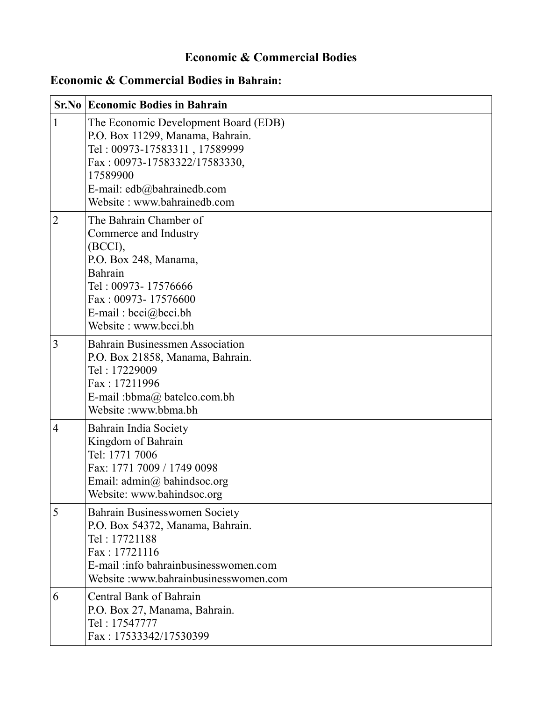## **Economic & Commercial Bodies**

## **Economic & Commercial Bodies in Bahrain:**

|                | <b>Sr.No Economic Bodies in Bahrain</b>                                                                                                                                                                             |
|----------------|---------------------------------------------------------------------------------------------------------------------------------------------------------------------------------------------------------------------|
| $\mathbf{1}$   | The Economic Development Board (EDB)<br>P.O. Box 11299, Manama, Bahrain.<br>Tel: 00973-17583311, 17589999<br>Fax: 00973-17583322/17583330,<br>17589900<br>E-mail: edb@bahrainedb.com<br>Website: www.bahrainedb.com |
| 2              | The Bahrain Chamber of<br>Commerce and Industry<br>(BCCI),<br>P.O. Box 248, Manama,<br>Bahrain<br>Tel: 00973-17576666<br>Fax: 00973-17576600<br>E-mail: $bcci@bcci.bh$<br>Website: www.bcci.bh                      |
| 3              | <b>Bahrain Businessmen Association</b><br>P.O. Box 21858, Manama, Bahrain.<br>Tel: 17229009<br>Fax: 17211996<br>E-mail: bbma@ batelco.com.bh<br>Website:www.bbma.bh                                                 |
| $\overline{4}$ | Bahrain India Society<br>Kingdom of Bahrain<br>Tel: 1771 7006<br>Fax: 1771 7009 / 1749 0098<br>Email: $\text{admin}(a)$ bahindsoc.org<br>Website: www.bahindsoc.org                                                 |
| 5              | Bahrain Businesswomen Society<br>P.O. Box 54372, Manama, Bahrain.<br>Tel: 17721188<br>Fax: 17721116<br>E-mail: info bahrainbusinesswomen.com<br>Website: www.bahrainbusinesswomen.com                               |
| 6              | Central Bank of Bahrain<br>P.O. Box 27, Manama, Bahrain.<br>Tel: 17547777<br>Fax: 17533342/17530399                                                                                                                 |